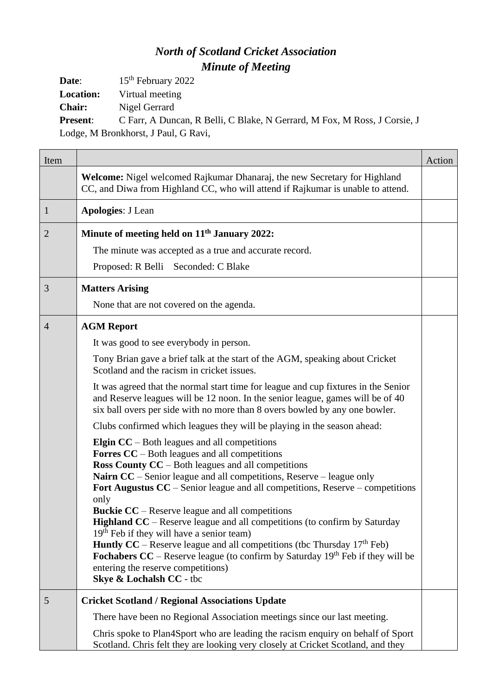## *North of Scotland Cricket Association Minute of Meeting*

**Date**: 15<sup>th</sup> February 2022 **Location:** Virtual meeting **Chair:** Nigel Gerrard

**Present**: C Farr, A Duncan, R Belli, C Blake, N Gerrard, M Fox, M Ross, J Corsie, J Lodge, M Bronkhorst, J Paul, G Ravi,

| Item           |                                                                                                                                                                                                                                                                                                                                                                                                                                                                                                                                                                                                                                                                                                                                                                                         | Action |
|----------------|-----------------------------------------------------------------------------------------------------------------------------------------------------------------------------------------------------------------------------------------------------------------------------------------------------------------------------------------------------------------------------------------------------------------------------------------------------------------------------------------------------------------------------------------------------------------------------------------------------------------------------------------------------------------------------------------------------------------------------------------------------------------------------------------|--------|
|                | Welcome: Nigel welcomed Rajkumar Dhanaraj, the new Secretary for Highland<br>CC, and Diwa from Highland CC, who will attend if Rajkumar is unable to attend.                                                                                                                                                                                                                                                                                                                                                                                                                                                                                                                                                                                                                            |        |
| $\mathbf{1}$   | <b>Apologies: J Lean</b>                                                                                                                                                                                                                                                                                                                                                                                                                                                                                                                                                                                                                                                                                                                                                                |        |
| $\overline{2}$ | Minute of meeting held on 11 <sup>th</sup> January 2022:                                                                                                                                                                                                                                                                                                                                                                                                                                                                                                                                                                                                                                                                                                                                |        |
|                | The minute was accepted as a true and accurate record.                                                                                                                                                                                                                                                                                                                                                                                                                                                                                                                                                                                                                                                                                                                                  |        |
|                | Proposed: R Belli Seconded: C Blake                                                                                                                                                                                                                                                                                                                                                                                                                                                                                                                                                                                                                                                                                                                                                     |        |
| 3              | <b>Matters Arising</b>                                                                                                                                                                                                                                                                                                                                                                                                                                                                                                                                                                                                                                                                                                                                                                  |        |
|                | None that are not covered on the agenda.                                                                                                                                                                                                                                                                                                                                                                                                                                                                                                                                                                                                                                                                                                                                                |        |
| $\overline{4}$ | <b>AGM Report</b>                                                                                                                                                                                                                                                                                                                                                                                                                                                                                                                                                                                                                                                                                                                                                                       |        |
|                | It was good to see everybody in person.                                                                                                                                                                                                                                                                                                                                                                                                                                                                                                                                                                                                                                                                                                                                                 |        |
|                | Tony Brian gave a brief talk at the start of the AGM, speaking about Cricket<br>Scotland and the racism in cricket issues.                                                                                                                                                                                                                                                                                                                                                                                                                                                                                                                                                                                                                                                              |        |
|                | It was agreed that the normal start time for league and cup fixtures in the Senior<br>and Reserve leagues will be 12 noon. In the senior league, games will be of 40<br>six ball overs per side with no more than 8 overs bowled by any one bowler.                                                                                                                                                                                                                                                                                                                                                                                                                                                                                                                                     |        |
|                | Clubs confirmed which leagues they will be playing in the season ahead:                                                                                                                                                                                                                                                                                                                                                                                                                                                                                                                                                                                                                                                                                                                 |        |
|                | <b>Elgin CC</b> – Both leagues and all competitions<br><b>Forres CC</b> – Both leagues and all competitions<br><b>Ross County CC</b> – Both leagues and all competitions<br>Nairn CC - Senior league and all competitions, Reserve - league only<br>Fort Augustus CC – Senior league and all competitions, Reserve – competitions<br>only<br><b>Buckie CC</b> – Reserve league and all competitions<br><b>Highland CC</b> – Reserve league and all competitions (to confirm by Saturday<br>$19th$ Feb if they will have a senior team)<br><b>Huntly CC</b> – Reserve league and all competitions (tbc Thursday $17th$ Feb)<br><b>Fochabers CC</b> – Reserve league (to confirm by Saturday $19th$ Feb if they will be<br>entering the reserve competitions)<br>Skye & Lochalsh CC - tbc |        |
| 5              | <b>Cricket Scotland / Regional Associations Update</b>                                                                                                                                                                                                                                                                                                                                                                                                                                                                                                                                                                                                                                                                                                                                  |        |
|                | There have been no Regional Association meetings since our last meeting.                                                                                                                                                                                                                                                                                                                                                                                                                                                                                                                                                                                                                                                                                                                |        |
|                | Chris spoke to Plan4Sport who are leading the racism enquiry on behalf of Sport<br>Scotland. Chris felt they are looking very closely at Cricket Scotland, and they                                                                                                                                                                                                                                                                                                                                                                                                                                                                                                                                                                                                                     |        |